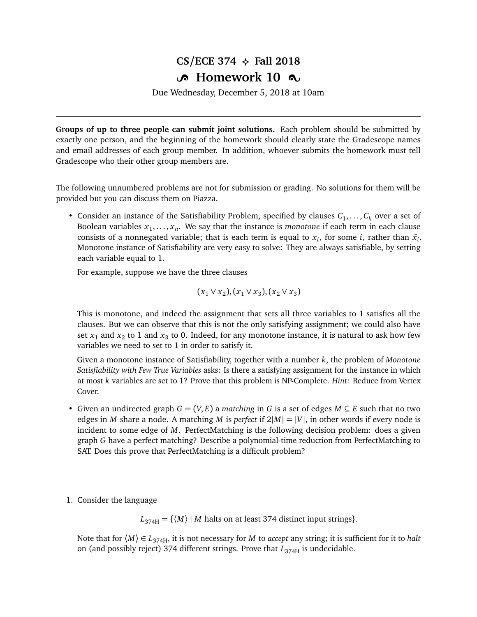## $CS/ECE$  374  $\leftrightarrow$  Fall 2018 **B** Homework 10  $\infty$

Due Wednesday, December 5, 2018 at 10am

**Groups of up to three people can submit joint solutions.** Each problem should be submitted by exactly one person, and the beginning of the homework should clearly state the Gradescope names and email addresses of each group member. In addition, whoever submits the homework must tell Gradescope who their other group members are.

The following unnumbered problems are not for submission or grading. No solutions for them will be provided but you can discuss them on Piazza.

• Consider an instance of the Satisfiability Problem, specified by clauses  $C_1, \ldots, C_k$  over a set of Boolean variables  $x_1, \ldots, x_n$ . We say that the instance is *monotone* if each term in each clause consists of a nonnegated variable; that is each term is equal to  $x_i$ , for some *i*, rather than  $\bar{x_i}$ . Monotone instance of Satisfiability are very easy to solve: They are always satisfiable, by setting each variable equal to 1.

For example, suppose we have the three clauses

$$
(x_1 \vee x_2), (x_1 \vee x_3), (x_2 \vee x_3)
$$

This is monotone, and indeed the assignment that sets all three variables to 1 satisfies all the clauses. But we can observe that this is not the only satisfying assignment; we could also have set  $x_1$  and  $x_2$  to 1 and  $x_3$  to 0. Indeed, for any monotone instance, it is natural to ask how few variables we need to set to 1 in order to satisfy it.

Given a monotone instance of Satisfiability, together with a number *k*, the problem of *Monotone Satisfiability with Few True Variables* asks: Is there a satisfying assignment for the instance in which at most *k* variables are set to 1? Prove that this problem is NP-Complete. *Hint:* Reduce from Vertex Cover.

- Given an undirected graph  $G = (V, E)$  a *matching* in G is a set of edges  $M \subseteq E$  such that no two edges in *M* share a node. A matching *M* is *perfect* if  $2|M| = |V|$ , in other words if every node is incident to some edge of M. PerfectMatching is the following decision problem: does a given graph *G* have a perfect matching? Describe a polynomial-time reduction from PerfectMatching to SAT. Does this prove that PerfectMatching is a difficult problem?
- 1. Consider the language

 $L_{374H} = \{ \langle M \rangle \mid M \text{ halts on at least 374 distinct input strings} \}.$ 

Note that for  $\langle M \rangle \in L_{374H}$ , it is not necessary for *M* to *accept* any string; it is sufficient for it to *halt* on (and possibly reject) 374 different strings. Prove that  $L_{374H}$  is undecidable.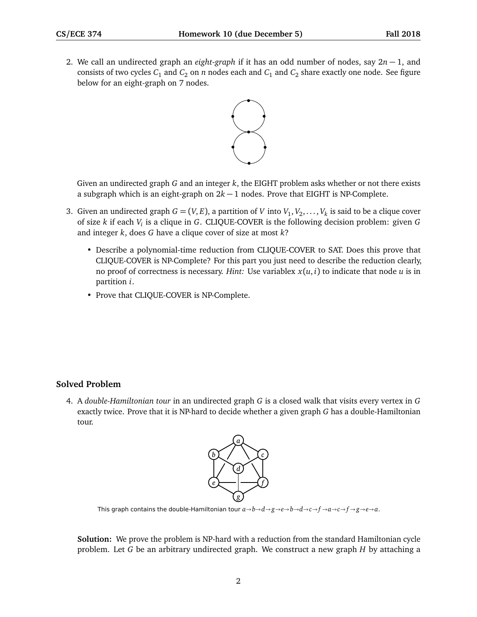2. We call an undirected graph an *eight-graph* if it has an odd number of nodes, say 2*n* − 1, and consists of two cycles  $C_1$  and  $C_2$  on  $n$  nodes each and  $C_1$  and  $C_2$  share exactly one node. See figure below for an eight-graph on 7 nodes.



Given an undirected graph *G* and an integer *k*, the EIGHT problem asks whether or not there exists a subgraph which is an eight-graph on  $2k - 1$  nodes. Prove that EIGHT is NP-Complete.

- 3. Given an undirected graph  $G = (V, E)$ , a partition of *V* into  $V_1, V_2, \ldots, V_k$  is said to be a clique cover of size *k* if each *V<sup>i</sup>* is a clique in *G*. CLIQUE-COVER is the following decision problem: given *G* and integer *k*, does *G* have a clique cover of size at most *k*?
	- Describe a polynomial-time reduction from CLIQUE-COVER to SAT. Does this prove that CLIQUE-COVER is NP-Complete? For this part you just need to describe the reduction clearly, no proof of correctness is necessary. *Hint*: Use variablex  $x(u, i)$  to indicate that node  $u$  is in partition *i*.
	- Prove that CLIQUE-COVER is NP-Complete.

## **Solved Problem**

4. A *double-Hamiltonian tour* in an undirected graph *G* is a closed walk that visits every vertex in *G* exactly twice. Prove that it is NP-hard to decide whether a given graph *G* has a double-Hamiltonian tour.



This graph contains the double-Hamiltonian tour  $a \rightarrow b \rightarrow d \rightarrow g \rightarrow e \rightarrow b \rightarrow d \rightarrow c \rightarrow f \rightarrow a \rightarrow c \rightarrow f \rightarrow g \rightarrow e \rightarrow a$ .

**Solution:** We prove the problem is NP-hard with a reduction from the standard Hamiltonian cycle problem. Let *G* be an arbitrary undirected graph. We construct a new graph *H* by attaching a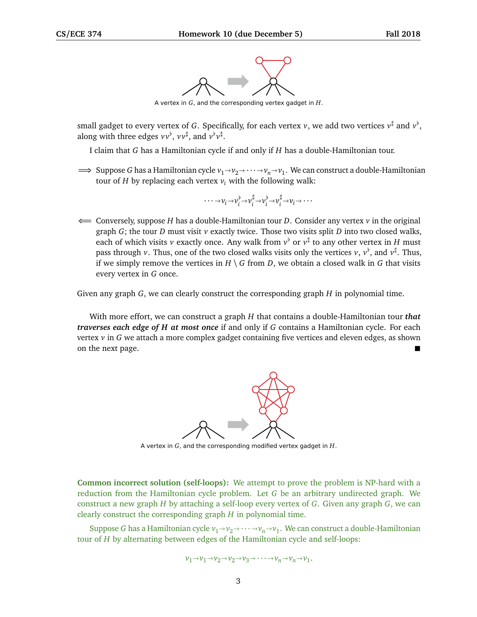

A vertex in *G*, and the corresponding vertex gadget in *H*.

small gadget to every vertex of *G*. Specifically, for each vertex *v*, we add two vertices  $v^{\sharp}$  and  $v^{\flat},$ along with three edges  $vv^{\flat}$ ,  $vv^{\sharp}$ , and  $v^{\flat}v^{\sharp}$ .

I claim that *G* has a Hamiltonian cycle if and only if *H* has a double-Hamiltonian tour.

 $\implies$  Suppose *G* has a Hamiltonian cycle  $v_1 \rightarrow v_2 \rightarrow \cdots \rightarrow v_n \rightarrow v_1$ . We can construct a double-Hamiltonian tour of *H* by replecing each vertex *y* with the following welly. tour of *H* by replacing each vertex  $v_i$  with the following walk:

$$
\cdots \rightarrow \nu_i \rightarrow \nu_i^{\flat} \rightarrow \nu_i^{\sharp} \rightarrow \nu_i^{\flat} \rightarrow \nu_i^{\sharp} \rightarrow \nu_i \rightarrow \cdots
$$

⇐= Conversely, suppose *H* has a double-Hamiltonian tour *D*. Consider any vertex *v* in the original graph *G*; the tour *D* must visit *v* exactly twice. Those two visits split *D* into two closed walks, each of which visits  $v$  exactly once. Any walk from  $v^{\flat}$  or  $v^{\sharp}$  to any other vertex in  $H$  must pass through *v*. Thus, one of the two closed walks visits only the vertices *v*, *v*<sup>b</sup>, and *v*<sup>‡</sup>. Thus, if we simply remove the vertices in  $H \setminus G$  from *D*, we obtain a closed walk in *G* that visits every vertex in *G* once.

Given any graph *G*, we can clearly construct the corresponding graph *H* in polynomial time.

With more effort, we can construct a graph *H* that contains a double-Hamiltonian tour *that traverses each edge of H at most once* if and only if *G* contains a Hamiltonian cycle. For each vertex *v* in *G* we attach a more complex gadget containing five vertices and eleven edges, as shown on the next page.



A vertex in *G*, and the corresponding modified vertex gadget in *H*.

**Common incorrect solution (self-loops):** We attempt to prove the problem is NP-hard with a reduction from the Hamiltonian cycle problem. Let *G* be an arbitrary undirected graph. We construct a new graph *H* by attaching a self-loop every vertex of *G*. Given any graph *G*, we can clearly construct the corresponding graph *H* in polynomial time.

Suppose *G* has a Hamiltonian cycle  $v_1 \rightarrow v_2 \rightarrow \cdots \rightarrow v_n \rightarrow v_1$ . We can construct a double-Hamiltonian  $\mathbf{r}$  of *H* by elternating between edges of the Hamiltonian gyele and self-leaps: tour of *H* by alternating between edges of the Hamiltonian cycle and self-loops:

$$
\nu_1 \rightarrow \nu_1 \rightarrow \nu_2 \rightarrow \nu_2 \rightarrow \nu_3 \rightarrow \cdots \rightarrow \nu_n \rightarrow \nu_n \rightarrow \nu_1.
$$